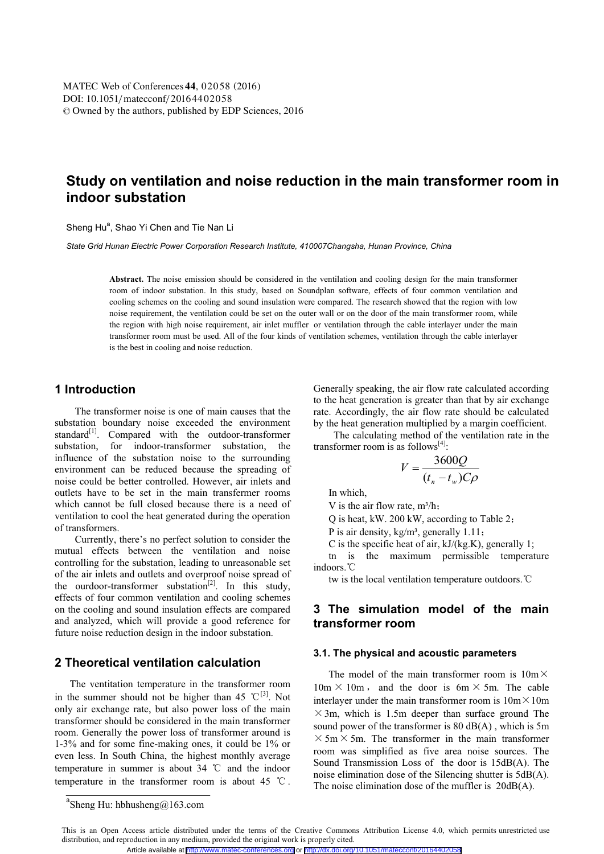# **Study on ventilation and noise reduction in the main transformer room in indoor substation**

Sheng Hu<sup>a</sup>, Shao Yi Chen and Tie Nan Li

*State Grid Hunan Electric Power Corporation Research Institute, 410007Changsha, Hunan Province, China* 

**Abstract.** The noise emission should be considered in the ventilation and cooling design for the main transformer room of indoor substation. In this study, based on Soundplan software, effects of four common ventilation and cooling schemes on the cooling and sound insulation were compared. The research showed that the region with low noise requirement, the ventilation could be set on the outer wall or on the door of the main transformer room, while the region with high noise requirement, air inlet muffler or ventilation through the cable interlayer under the main transformer room must be used. All of the four kinds of ventilation schemes, ventilation through the cable interlayer is the best in cooling and noise reduction.

### **1 Introduction**

The transformer noise is one of main causes that the substation boundary noise exceeded the environment standard $[1]$ . Compared with the outdoor-transformer substation, for indoor-transformer substation, the influence of the substation noise to the surrounding environment can be reduced because the spreading of noise could be better controlled. However, air inlets and outlets have to be set in the main transfermer rooms which cannot be full closed because there is a need of ventilation to cool the heat generated during the operation of transformers.

Currently, there's no perfect solution to consider the mutual effects between the ventilation and noise controlling for the substation, leading to unreasonable set of the air inlets and outlets and overproof noise spread of the ourdoor-transformer substation<sup>[2]</sup>. In this study, effects of four common ventilation and cooling schemes on the cooling and sound insulation effects are compared and analyzed, which will provide a good reference for future noise reduction design in the indoor substation.

### **2 Theoretical ventilation calculation**

The ventitation temperature in the transformer room in the summer should not be higher than 45 °C<sup>[3]</sup>. Not only air exchange rate, but also power loss of the main transformer should be considered in the main transformer room. Generally the power loss of transformer around is 1-3% and for some fine-making ones, it could be 1% or even less. In South China, the highest monthly average temperature in summer is about  $34^{\circ}$  C and the indoor temperature in the transformer room is about 45  $^{\circ}$ C.

The calculating method of the ventilation rate in the transformer room is as follows $[4]$ :

$$
V = \frac{3600Q}{(t_n - t_w)C\rho}
$$

In which,

V is the air flow rate,  $m^3/h$ ;

Q is heat, kW. 200 kW, according to Table 2;

P is air density,  $kg/m^3$ , generally 1.11;

C is the specific heat of air,  $kJ/(kg.K)$ , generally 1;

tn is the maximum permissible temperature indoors.<sup>o</sup>C

tw is the local ventilation temperature outdoors. °C

### **3 The simulation model of the main transformer room**

#### **3.1. The physical and acoustic parameters**

The model of the main transformer room is  $10m \times$  $10m \times 10m$ , and the door is 6m  $\times$  5m. The cable interlayer under the main transformer room is  $10m \times 10m$  $\times$  3m, which is 1.5m deeper than surface ground The sound power of the transformer is 80 dB(A) , which is 5m  $\times$  5m  $\times$  5m. The transformer in the main transformer room was simplified as five area noise sources. The Sound Transmission Loss of the door is 15dB(A). The noise elimination dose of the Silencing shutter is 5dB(A). The noise elimination dose of the muffler is 20dB(A).

Generally speaking, the air flow rate calculated according to the heat generation is greater than that by air exchange rate. Accordingly, the air flow rate should be calculated by the heat generation multiplied by a margin coefficient.

<sup>&</sup>lt;sup>a</sup>Sheng Hu: hbhusheng@163.com

This is an Open Access article distributed under the terms of the Creative Commons Attribution License 4.0, which permits unrestricted use distribution, and reproduction in any medium, provided the original work is properly cited. Article available at <http://www.matec-conferences.org> or <http://dx.doi.org/10.1051/matecconf/20164402058>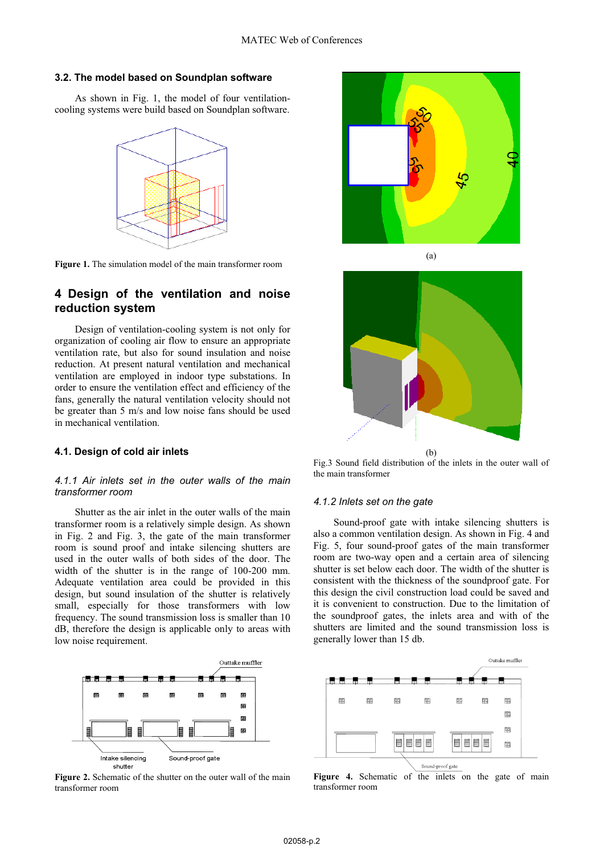#### **3.2. The model based on Soundplan software**

As shown in Fig. 1, the model of four ventilationcooling systems were build based on Soundplan software.



**Figure 1.** The simulation model of the main transformer room

### **4 Design of the ventilation and noise reduction system**

Design of ventilation-cooling system is not only for organization of cooling air flow to ensure an appropriate ventilation rate, but also for sound insulation and noise reduction. At present natural ventilation and mechanical ventilation are employed in indoor type substations. In order to ensure the ventilation effect and efficiency of the fans, generally the natural ventilation velocity should not be greater than 5 m/s and low noise fans should be used in mechanical ventilation.

#### **4.1. Design of cold air inlets**

#### *4.1.1 Air inlets set in the outer walls of the main transformer room*

Shutter as the air inlet in the outer walls of the main transformer room is a relatively simple design. As shown in Fig. 2 and Fig. 3, the gate of the main transformer room is sound proof and intake silencing shutters are used in the outer walls of both sides of the door. The width of the shutter is in the range of 100-200 mm. Adequate ventilation area could be provided in this design, but sound insulation of the shutter is relatively small, especially for those transformers with low frequency. The sound transmission loss is smaller than 10 dB, therefore the design is applicable only to areas with low noise requirement.



**Figure 2.** Schematic of the shutter on the outer wall of the main transformer room



(a)



Fig.3 Sound field distribution of the inlets in the outer wall of the main transformer

#### *4.1.2 Inlets set on the gate*

Sound-proof gate with intake silencing shutters is also a common ventilation design. As shown in Fig. 4 and Fig. 5, four sound-proof gates of the main transformer room are two-way open and a certain area of silencing shutter is set below each door. The width of the shutter is consistent with the thickness of the soundproof gate. For this design the civil construction load could be saved and it is convenient to construction. Due to the limitation of the soundproof gates, the inlets area and with of the shutters are limited and the sound transmission loss is generally lower than 15 db.



Figure 4. Schematic of the inlets on the gate of main transformer room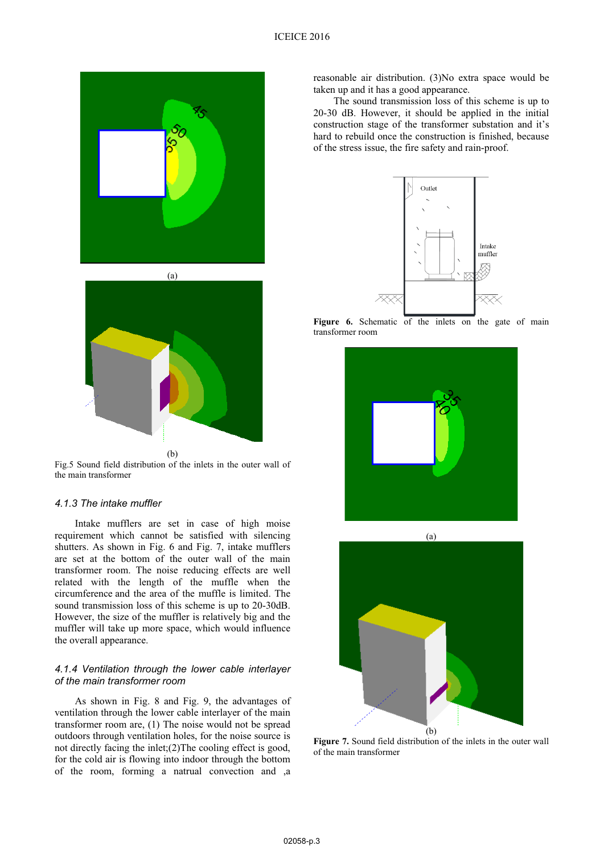

 $(h)$ Fig.5 Sound field distribution of the inlets in the outer wall of the main transformer

#### *4.1.3 The intake muffler*

Intake mufflers are set in case of high moise requirement which cannot be satisfied with silencing shutters. As shown in Fig. 6 and Fig. 7, intake mufflers are set at the bottom of the outer wall of the main transformer room. The noise reducing effects are well related with the length of the muffle when the circumference and the area of the muffle is limited. The sound transmission loss of this scheme is up to 20-30dB. However, the size of the muffler is relatively big and the muffler will take up more space, which would influence the overall appearance.

#### *4.1.4 Ventilation through the lower cable interlayer of the main transformer room*

As shown in Fig. 8 and Fig. 9, the advantages of ventilation through the lower cable interlayer of the main transformer room are, (1) The noise would not be spread outdoors through ventilation holes, for the noise source is not directly facing the inlet;(2)The cooling effect is good, for the cold air is flowing into indoor through the bottom of the room, forming a natrual convection and ,a

reasonable air distribution. (3)No extra space would be taken up and it has a good appearance.

The sound transmission loss of this scheme is up to 20-30 dB. However, it should be applied in the initial construction stage of the transformer substation and it's hard to rebuild once the construction is finished, because of the stress issue, the fire safety and rain-proof.



Figure 6. Schematic of the inlets on the gate of main transformer room





**Figure 7.** Sound field distribution of the inlets in the outer wall of the main transformer